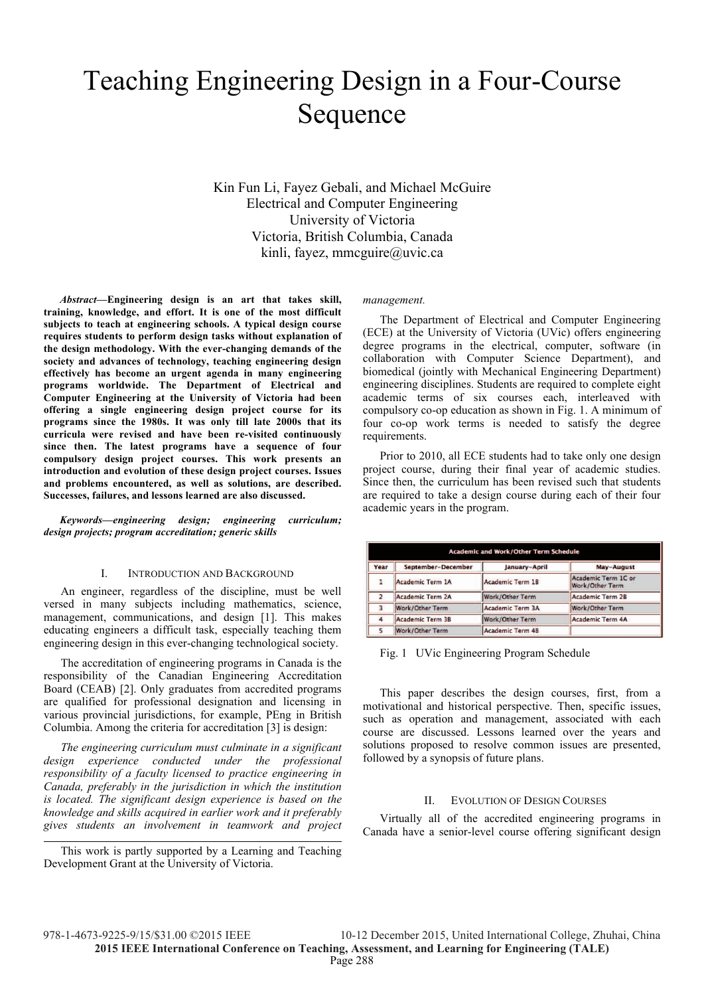# Teaching Engineering Design in a Four-Course Sequence

Kin Fun Li, Fayez Gebali, and Michael McGuire Electrical and Computer Engineering University of Victoria Victoria, British Columbia, Canada kinli, fayez, mmcguire@uvic.ca

*Abstract***—Engineering design is an art that takes skill, training, knowledge, and effort. It is one of the most difficult subjects to teach at engineering schools. A typical design course requires students to perform design tasks without explanation of the design methodology. With the ever-changing demands of the society and advances of technology, teaching engineering design effectively has become an urgent agenda in many engineering programs worldwide. The Department of Electrical and Computer Engineering at the University of Victoria had been offering a single engineering design project course for its programs since the 1980s. It was only till late 2000s that its curricula were revised and have been re-visited continuously since then. The latest programs have a sequence of four compulsory design project courses. This work presents an introduction and evolution of these design project courses. Issues and problems encountered, as well as solutions, are described. Successes, failures, and lessons learned are also discussed.** 

*Keywords—engineering design; engineering curriculum; design projects; program accreditation; generic skills* 

#### I. INTRODUCTION AND BACKGROUND

An engineer, regardless of the discipline, must be well versed in many subjects including mathematics, science, management, communications, and design [1]. This makes educating engineers a difficult task, especially teaching them engineering design in this ever-changing technological society.

The accreditation of engineering programs in Canada is the responsibility of the Canadian Engineering Accreditation Board (CEAB) [2]. Only graduates from accredited programs are qualified for professional designation and licensing in various provincial jurisdictions, for example, PEng in British Columbia. Among the criteria for accreditation [3] is design:

*The engineering curriculum must culminate in a significant design experience conducted under the professional responsibility of a faculty licensed to practice engineering in Canada, preferably in the jurisdiction in which the institution is located. The significant design experience is based on the knowledge and skills acquired in earlier work and it preferably gives students an involvement in teamwork and project* 

This work is partly supported by a Learning and Teaching Development Grant at the University of Victoria.

*management.* 

The Department of Electrical and Computer Engineering (ECE) at the University of Victoria (UVic) offers engineering degree programs in the electrical, computer, software (in collaboration with Computer Science Department), and biomedical (jointly with Mechanical Engineering Department) engineering disciplines. Students are required to complete eight academic terms of six courses each, interleaved with compulsory co-op education as shown in Fig. 1. A minimum of four co-op work terms is needed to satisfy the degree requirements.

Prior to 2010, all ECE students had to take only one design project course, during their final year of academic studies. Since then, the curriculum has been revised such that students are required to take a design course during each of their four academic years in the program.

| <b>Academic and Work/Other Term Schedule</b> |                         |                        |                                               |  |  |  |  |  |
|----------------------------------------------|-------------------------|------------------------|-----------------------------------------------|--|--|--|--|--|
| Year                                         | September-December      | January-April          | May-August                                    |  |  |  |  |  |
| ı                                            | Academic Term 1A        | Academic Term 1B       | Academic Term 1C or<br><b>Work/Other Term</b> |  |  |  |  |  |
| $\overline{2}$                               | Academic Term 2A        | <b>Work/Other Term</b> | Academic Term 2B                              |  |  |  |  |  |
|                                              | <b>Work/Other Term</b>  | Academic Term 3A       | <b>Work/Other Term</b>                        |  |  |  |  |  |
|                                              | <b>Academic Term 3B</b> | Work/Other Term        | Academic Term 4A                              |  |  |  |  |  |
|                                              | Work/Other Term         | Academic Term 4B       |                                               |  |  |  |  |  |

Fig. 1 UVic Engineering Program Schedule

This paper describes the design courses, first, from a motivational and historical perspective. Then, specific issues, such as operation and management, associated with each course are discussed. Lessons learned over the years and solutions proposed to resolve common issues are presented, followed by a synopsis of future plans.

#### II. EVOLUTION OF DESIGN COURSES

Virtually all of the accredited engineering programs in Canada have a senior-level course offering significant design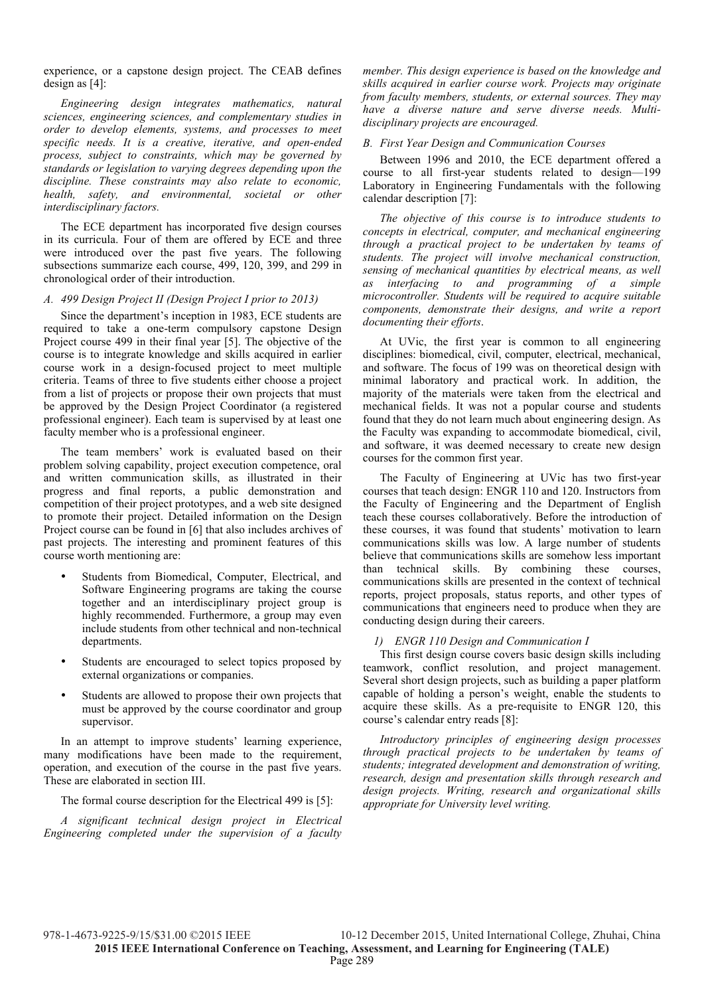experience, or a capstone design project. The CEAB defines design as [4]:

*Engineering design integrates mathematics, natural sciences, engineering sciences, and complementary studies in order to develop elements, systems, and processes to meet specific needs. It is a creative, iterative, and open-ended process, subject to constraints, which may be governed by standards or legislation to varying degrees depending upon the discipline. These constraints may also relate to economic, health, safety, and environmental, societal or other interdisciplinary factors.* 

The ECE department has incorporated five design courses in its curricula. Four of them are offered by ECE and three were introduced over the past five years. The following subsections summarize each course, 499, 120, 399, and 299 in chronological order of their introduction.

#### *A. 499 Design Project II (Design Project I prior to 2013)*

Since the department's inception in 1983, ECE students are required to take a one-term compulsory capstone Design Project course 499 in their final year [5]. The objective of the course is to integrate knowledge and skills acquired in earlier course work in a design-focused project to meet multiple criteria. Teams of three to five students either choose a project from a list of projects or propose their own projects that must be approved by the Design Project Coordinator (a registered professional engineer). Each team is supervised by at least one faculty member who is a professional engineer.

The team members' work is evaluated based on their problem solving capability, project execution competence, oral and written communication skills, as illustrated in their progress and final reports, a public demonstration and competition of their project prototypes, and a web site designed to promote their project. Detailed information on the Design Project course can be found in [6] that also includes archives of past projects. The interesting and prominent features of this course worth mentioning are:

- Students from Biomedical, Computer, Electrical, and Software Engineering programs are taking the course together and an interdisciplinary project group is highly recommended. Furthermore, a group may even include students from other technical and non-technical departments.
- Students are encouraged to select topics proposed by external organizations or companies.
- Students are allowed to propose their own projects that must be approved by the course coordinator and group supervisor.

In an attempt to improve students' learning experience, many modifications have been made to the requirement, operation, and execution of the course in the past five years. These are elaborated in section III.

The formal course description for the Electrical 499 is [5]:

*A significant technical design project in Electrical Engineering completed under the supervision of a faculty* 

*member. This design experience is based on the knowledge and skills acquired in earlier course work. Projects may originate from faculty members, students, or external sources. They may have a diverse nature and serve diverse needs. Multidisciplinary projects are encouraged.* 

### *B. First Year Design and Communication Courses*

Between 1996 and 2010, the ECE department offered a course to all first-year students related to design—199 Laboratory in Engineering Fundamentals with the following calendar description [7]:

*The objective of this course is to introduce students to concepts in electrical, computer, and mechanical engineering through a practical project to be undertaken by teams of students. The project will involve mechanical construction, sensing of mechanical quantities by electrical means, as well as interfacing to and programming of a simple microcontroller. Students will be required to acquire suitable components, demonstrate their designs, and write a report documenting their efforts*.

At UVic, the first year is common to all engineering disciplines: biomedical, civil, computer, electrical, mechanical, and software. The focus of 199 was on theoretical design with minimal laboratory and practical work. In addition, the majority of the materials were taken from the electrical and mechanical fields. It was not a popular course and students found that they do not learn much about engineering design. As the Faculty was expanding to accommodate biomedical, civil, and software, it was deemed necessary to create new design courses for the common first year.

The Faculty of Engineering at UVic has two first-year courses that teach design: ENGR 110 and 120. Instructors from the Faculty of Engineering and the Department of English teach these courses collaboratively. Before the introduction of these courses, it was found that students' motivation to learn communications skills was low. A large number of students believe that communications skills are somehow less important than technical skills. By combining these courses, communications skills are presented in the context of technical reports, project proposals, status reports, and other types of communications that engineers need to produce when they are conducting design during their careers.

# *1) ENGR 110 Design and Communication I*

This first design course covers basic design skills including teamwork, conflict resolution, and project management. Several short design projects, such as building a paper platform capable of holding a person's weight, enable the students to acquire these skills. As a pre-requisite to ENGR 120, this course's calendar entry reads [8]:

*Introductory principles of engineering design processes through practical projects to be undertaken by teams of students; integrated development and demonstration of writing, research, design and presentation skills through research and design projects. Writing, research and organizational skills appropriate for University level writing.*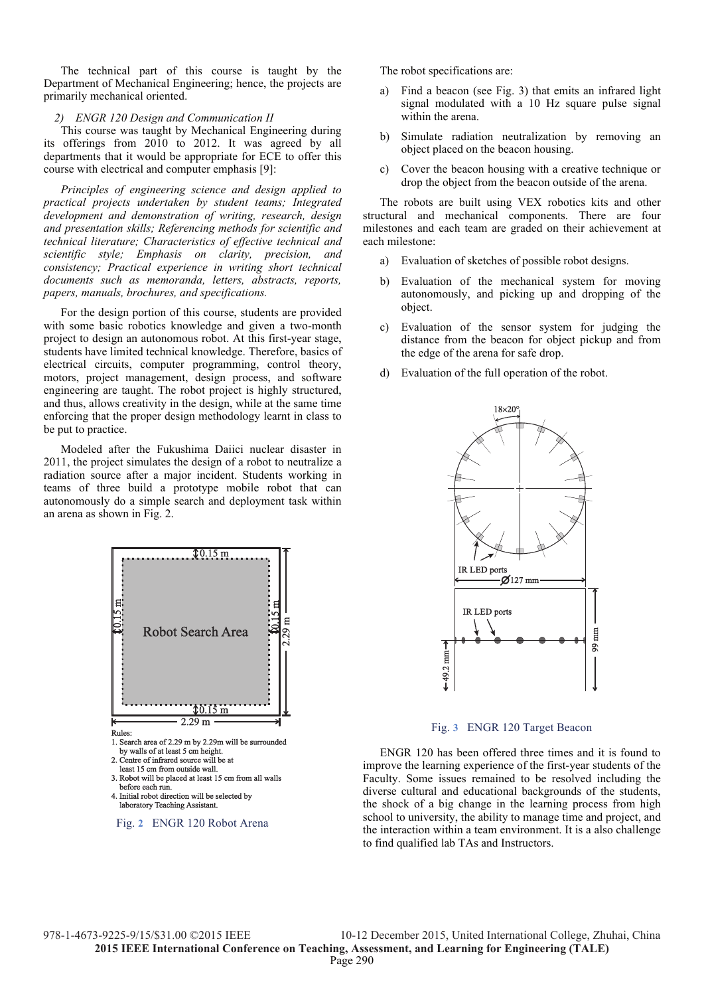The technical part of this course is taught by the Department of Mechanical Engineering; hence, the projects are primarily mechanical oriented.

#### *2) ENGR 120 Design and Communication II*

This course was taught by Mechanical Engineering during its offerings from 2010 to 2012. It was agreed by all departments that it would be appropriate for ECE to offer this course with electrical and computer emphasis [9]:

*Principles of engineering science and design applied to practical projects undertaken by student teams; Integrated development and demonstration of writing, research, design and presentation skills; Referencing methods for scientific and technical literature; Characteristics of effective technical and scientific style; Emphasis on clarity, precision, and consistency; Practical experience in writing short technical documents such as memoranda, letters, abstracts, reports, papers, manuals, brochures, and specifications.* 

For the design portion of this course, students are provided with some basic robotics knowledge and given a two-month project to design an autonomous robot. At this first-year stage, students have limited technical knowledge. Therefore, basics of electrical circuits, computer programming, control theory, motors, project management, design process, and software engineering are taught. The robot project is highly structured, and thus, allows creativity in the design, while at the same time enforcing that the proper design methodology learnt in class to be put to practice.

Modeled after the Fukushima Daiici nuclear disaster in 2011, the project simulates the design of a robot to neutralize a radiation source after a major incident. Students working in teams of three build a prototype mobile robot that can autonomously do a simple search and deployment task within an arena as shown in Fig. 2.



The robot specifications are:

- a) Find a beacon (see Fig. 3) that emits an infrared light signal modulated with a 10 Hz square pulse signal within the arena.
- b) Simulate radiation neutralization by removing an object placed on the beacon housing.
- c) Cover the beacon housing with a creative technique or drop the object from the beacon outside of the arena.

The robots are built using VEX robotics kits and other structural and mechanical components. There are four milestones and each team are graded on their achievement at each milestone:

- a) Evaluation of sketches of possible robot designs.
- b) Evaluation of the mechanical system for moving autonomously, and picking up and dropping of the object.
- c) Evaluation of the sensor system for judging the distance from the beacon for object pickup and from the edge of the arena for safe drop.
- d) Evaluation of the full operation of the robot.



Fig. **3** ENGR 120 Target Beacon

ENGR 120 has been offered three times and it is found to improve the learning experience of the first-year students of the Faculty. Some issues remained to be resolved including the diverse cultural and educational backgrounds of the students, the shock of a big change in the learning process from high school to university, the ability to manage time and project, and the interaction within a team environment. It is a also challenge to find qualified lab TAs and Instructors.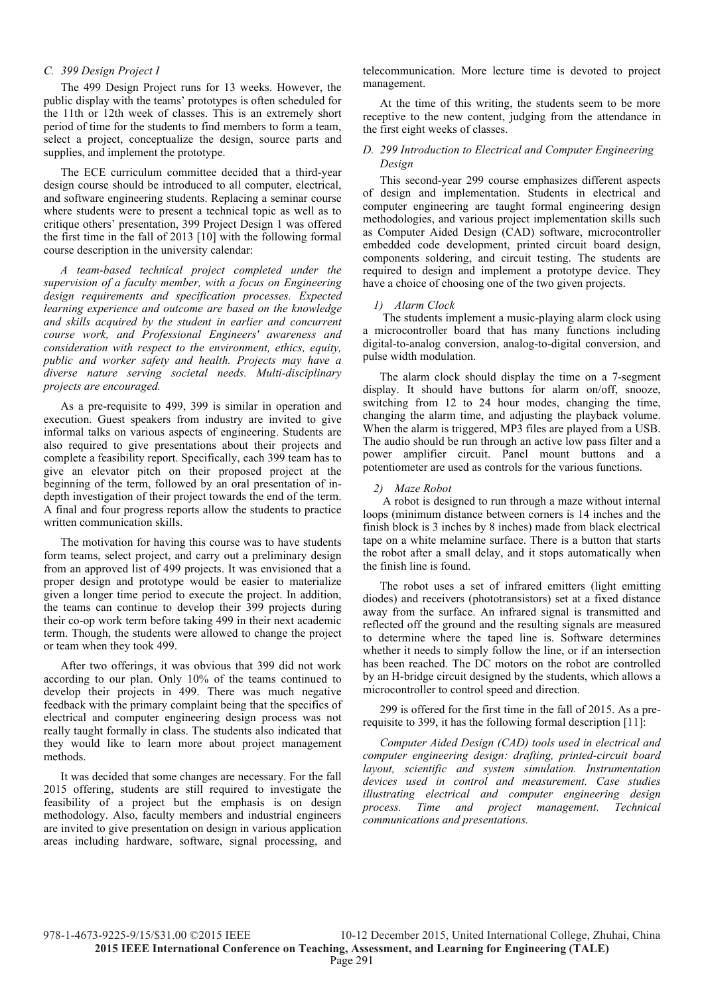#### *C. 399 Design Project I*

The 499 Design Project runs for 13 weeks. However, the public display with the teams' prototypes is often scheduled for the 11th or 12th week of classes. This is an extremely short period of time for the students to find members to form a team, select a project, conceptualize the design, source parts and supplies, and implement the prototype.

The ECE curriculum committee decided that a third-year design course should be introduced to all computer, electrical, and software engineering students. Replacing a seminar course where students were to present a technical topic as well as to critique others' presentation, 399 Project Design 1 was offered the first time in the fall of 2013 [10] with the following formal course description in the university calendar:

*A team-based technical project completed under the supervision of a faculty member, with a focus on Engineering design requirements and specification processes. Expected learning experience and outcome are based on the knowledge and skills acquired by the student in earlier and concurrent course work, and Professional Engineers' awareness and consideration with respect to the environment, ethics, equity, public and worker safety and health. Projects may have a diverse nature serving societal needs. Multi-disciplinary projects are encouraged.* 

As a pre-requisite to 499, 399 is similar in operation and execution. Guest speakers from industry are invited to give informal talks on various aspects of engineering. Students are also required to give presentations about their projects and complete a feasibility report. Specifically, each 399 team has to give an elevator pitch on their proposed project at the beginning of the term, followed by an oral presentation of indepth investigation of their project towards the end of the term. A final and four progress reports allow the students to practice written communication skills.

The motivation for having this course was to have students form teams, select project, and carry out a preliminary design from an approved list of 499 projects. It was envisioned that a proper design and prototype would be easier to materialize given a longer time period to execute the project. In addition, the teams can continue to develop their 399 projects during their co-op work term before taking 499 in their next academic term. Though, the students were allowed to change the project or team when they took 499.

After two offerings, it was obvious that 399 did not work according to our plan. Only 10% of the teams continued to develop their projects in 499. There was much negative feedback with the primary complaint being that the specifics of electrical and computer engineering design process was not really taught formally in class. The students also indicated that they would like to learn more about project management methods.

It was decided that some changes are necessary. For the fall 2015 offering, students are still required to investigate the feasibility of a project but the emphasis is on design methodology. Also, faculty members and industrial engineers are invited to give presentation on design in various application areas including hardware, software, signal processing, and telecommunication. More lecture time is devoted to project management.

At the time of this writing, the students seem to be more receptive to the new content, judging from the attendance in the first eight weeks of classes.

# *D. 299 Introduction to Electrical and Computer Engineering Design*

This second-year 299 course emphasizes different aspects of design and implementation. Students in electrical and computer engineering are taught formal engineering design methodologies, and various project implementation skills such as Computer Aided Design (CAD) software, microcontroller embedded code development, printed circuit board design, components soldering, and circuit testing. The students are required to design and implement a prototype device. They have a choice of choosing one of the two given projects.

#### *1) Alarm Clock*

 The students implement a music-playing alarm clock using a microcontroller board that has many functions including digital-to-analog conversion, analog-to-digital conversion, and pulse width modulation.

The alarm clock should display the time on a 7-segment display. It should have buttons for alarm on/off, snooze, switching from 12 to 24 hour modes, changing the time, changing the alarm time, and adjusting the playback volume. When the alarm is triggered, MP3 files are played from a USB. The audio should be run through an active low pass filter and a power amplifier circuit. Panel mount buttons and a potentiometer are used as controls for the various functions.

#### *2) Maze Robot*

 A robot is designed to run through a maze without internal loops (minimum distance between corners is 14 inches and the finish block is 3 inches by 8 inches) made from black electrical tape on a white melamine surface. There is a button that starts the robot after a small delay, and it stops automatically when the finish line is found.

The robot uses a set of infrared emitters (light emitting diodes) and receivers (phototransistors) set at a fixed distance away from the surface. An infrared signal is transmitted and reflected off the ground and the resulting signals are measured to determine where the taped line is. Software determines whether it needs to simply follow the line, or if an intersection has been reached. The DC motors on the robot are controlled by an H-bridge circuit designed by the students, which allows a microcontroller to control speed and direction.

299 is offered for the first time in the fall of 2015. As a prerequisite to 399, it has the following formal description [11]:

*Computer Aided Design (CAD) tools used in electrical and computer engineering design: drafting, printed-circuit board layout, scientific and system simulation. Instrumentation devices used in control and measurement. Case studies illustrating electrical and computer engineering design process. Time and project management. Technical communications and presentations.*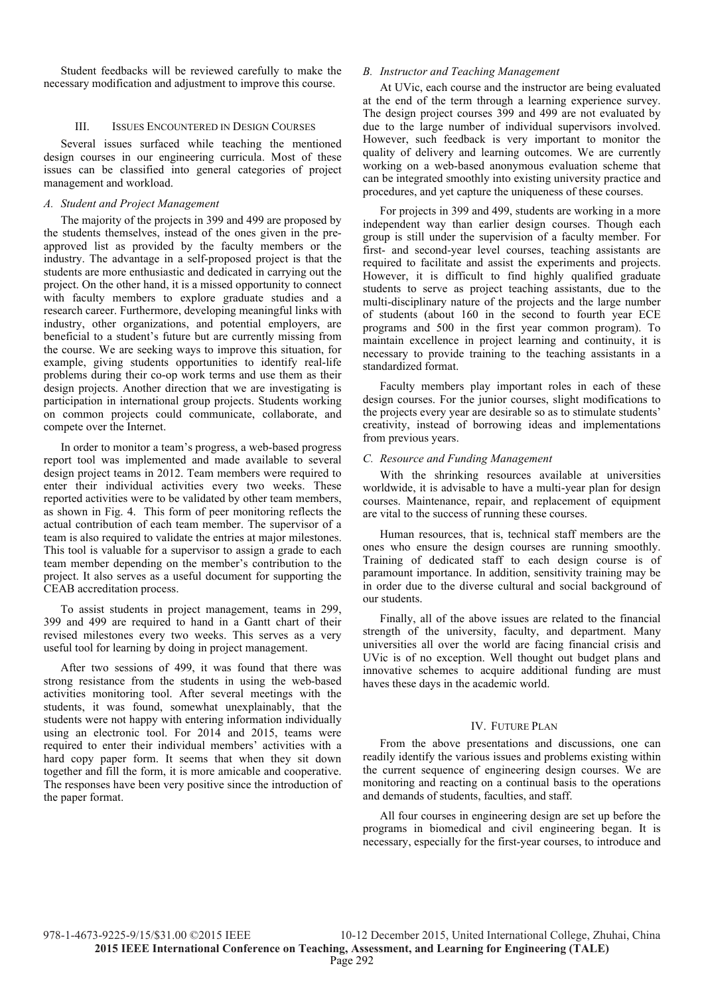Student feedbacks will be reviewed carefully to make the necessary modification and adjustment to improve this course.

# III. ISSUES ENCOUNTERED IN DESIGN COURSES

Several issues surfaced while teaching the mentioned design courses in our engineering curricula. Most of these issues can be classified into general categories of project management and workload.

#### *A. Student and Project Management*

The majority of the projects in 399 and 499 are proposed by the students themselves, instead of the ones given in the preapproved list as provided by the faculty members or the industry. The advantage in a self-proposed project is that the students are more enthusiastic and dedicated in carrying out the project. On the other hand, it is a missed opportunity to connect with faculty members to explore graduate studies and a research career. Furthermore, developing meaningful links with industry, other organizations, and potential employers, are beneficial to a student's future but are currently missing from the course. We are seeking ways to improve this situation, for example, giving students opportunities to identify real-life problems during their co-op work terms and use them as their design projects. Another direction that we are investigating is participation in international group projects. Students working on common projects could communicate, collaborate, and compete over the Internet.

In order to monitor a team's progress, a web-based progress report tool was implemented and made available to several design project teams in 2012. Team members were required to enter their individual activities every two weeks. These reported activities were to be validated by other team members, as shown in Fig. 4. This form of peer monitoring reflects the actual contribution of each team member. The supervisor of a team is also required to validate the entries at major milestones. This tool is valuable for a supervisor to assign a grade to each team member depending on the member's contribution to the project. It also serves as a useful document for supporting the CEAB accreditation process.

To assist students in project management, teams in 299, 399 and 499 are required to hand in a Gantt chart of their revised milestones every two weeks. This serves as a very useful tool for learning by doing in project management.

After two sessions of 499, it was found that there was strong resistance from the students in using the web-based activities monitoring tool. After several meetings with the students, it was found, somewhat unexplainably, that the students were not happy with entering information individually using an electronic tool. For 2014 and 2015, teams were required to enter their individual members' activities with a hard copy paper form. It seems that when they sit down together and fill the form, it is more amicable and cooperative. The responses have been very positive since the introduction of the paper format.

# *B. Instructor and Teaching Management*

At UVic, each course and the instructor are being evaluated at the end of the term through a learning experience survey. The design project courses 399 and 499 are not evaluated by due to the large number of individual supervisors involved. However, such feedback is very important to monitor the quality of delivery and learning outcomes. We are currently working on a web-based anonymous evaluation scheme that can be integrated smoothly into existing university practice and procedures, and yet capture the uniqueness of these courses.

For projects in 399 and 499, students are working in a more independent way than earlier design courses. Though each group is still under the supervision of a faculty member. For first- and second-year level courses, teaching assistants are required to facilitate and assist the experiments and projects. However, it is difficult to find highly qualified graduate students to serve as project teaching assistants, due to the multi-disciplinary nature of the projects and the large number of students (about 160 in the second to fourth year ECE programs and 500 in the first year common program). To maintain excellence in project learning and continuity, it is necessary to provide training to the teaching assistants in a standardized format.

Faculty members play important roles in each of these design courses. For the junior courses, slight modifications to the projects every year are desirable so as to stimulate students' creativity, instead of borrowing ideas and implementations from previous years.

#### *C. Resource and Funding Management*

With the shrinking resources available at universities worldwide, it is advisable to have a multi-year plan for design courses. Maintenance, repair, and replacement of equipment are vital to the success of running these courses.

Human resources, that is, technical staff members are the ones who ensure the design courses are running smoothly. Training of dedicated staff to each design course is of paramount importance. In addition, sensitivity training may be in order due to the diverse cultural and social background of our students.

Finally, all of the above issues are related to the financial strength of the university, faculty, and department. Many universities all over the world are facing financial crisis and UVic is of no exception. Well thought out budget plans and innovative schemes to acquire additional funding are must haves these days in the academic world.

# IV. FUTURE PLAN

From the above presentations and discussions, one can readily identify the various issues and problems existing within the current sequence of engineering design courses. We are monitoring and reacting on a continual basis to the operations and demands of students, faculties, and staff.

All four courses in engineering design are set up before the programs in biomedical and civil engineering began. It is necessary, especially for the first-year courses, to introduce and